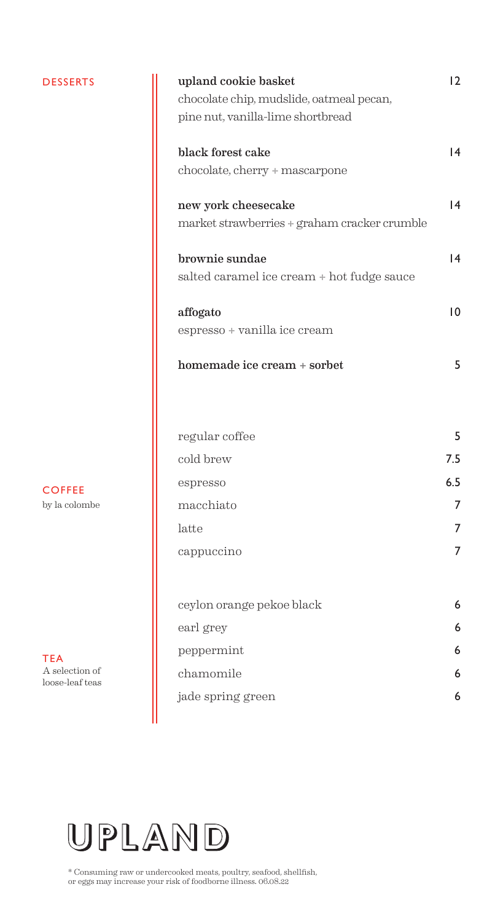### DESSERTS

| upland cookie basket<br>chocolate chip, mudslide, oatmeal pecan,<br>pine nut, vanilla-lime shortbread | 12  |
|-------------------------------------------------------------------------------------------------------|-----|
| black forest cake<br>chocolate, cherry + mascarpone                                                   | 4   |
| new york cheesecake<br>market strawberries + graham cracker crumble                                   | 4   |
| brownie sundae<br>salted caramel ice cream + hot fudge sauce                                          | 4   |
| affogato<br>espresso + vanilla ice cream                                                              | 10  |
| homemade ice cream + sorbet                                                                           | 5   |
| regular coffee                                                                                        | 5   |
| cold brew                                                                                             | 7.5 |
| espresso                                                                                              | 6.5 |
| macchiato                                                                                             | 7   |
| latte                                                                                                 | 7   |
| cappuccino                                                                                            | 7   |
| ceylon orange pekoe black                                                                             | 6   |
| earl grey                                                                                             | 6   |
| peppermint                                                                                            | 6   |
| chamomile                                                                                             | 6   |
| jade spring green                                                                                     | 6   |
|                                                                                                       |     |



TEA A selection of loose-leaf teas



\* Consuming raw or undercooked meats, poultry, seafood, shellfish, or eggs may increase your risk of foodborne illness. 06.08.22